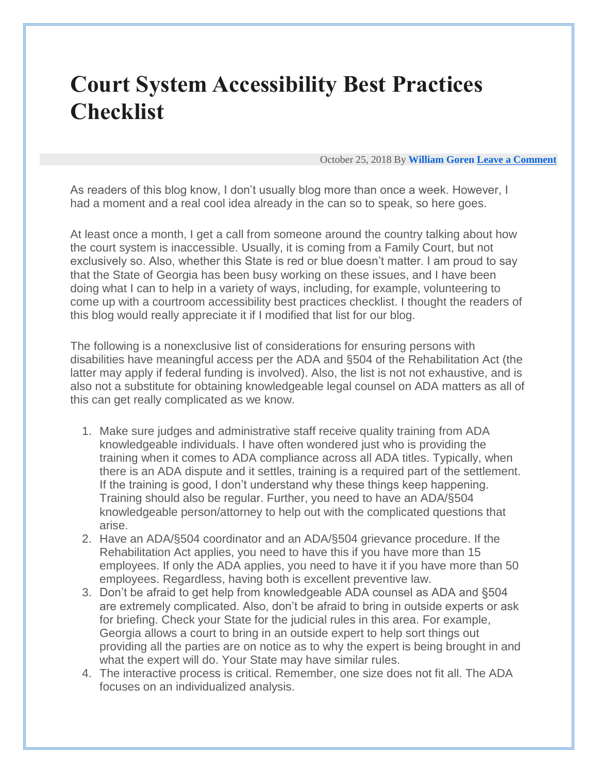## **Court System Accessibility Best Practices Checklist**

October 25, 2018 By **[William Goren](http://www.williamgoren.com/blog/author/william-goren/) [Leave a Comment](http://www.williamgoren.com/blog/2018/10/25/court-system-accessibility-best-practices-checklist/#respond)**

As readers of this blog know, I don't usually blog more than once a week. However, I had a moment and a real cool idea already in the can so to speak, so here goes.

At least once a month, I get a call from someone around the country talking about how the court system is inaccessible. Usually, it is coming from a Family Court, but not exclusively so. Also, whether this State is red or blue doesn't matter. I am proud to say that the State of Georgia has been busy working on these issues, and I have been doing what I can to help in a variety of ways, including, for example, volunteering to come up with a courtroom accessibility best practices checklist. I thought the readers of this blog would really appreciate it if I modified that list for our blog.

The following is a nonexclusive list of considerations for ensuring persons with disabilities have meaningful access per the ADA and §504 of the Rehabilitation Act (the latter may apply if federal funding is involved). Also, the list is not not exhaustive, and is also not a substitute for obtaining knowledgeable legal counsel on ADA matters as all of this can get really complicated as we know.

- 1. Make sure judges and administrative staff receive quality training from ADA knowledgeable individuals. I have often wondered just who is providing the training when it comes to ADA compliance across all ADA titles. Typically, when there is an ADA dispute and it settles, training is a required part of the settlement. If the training is good, I don't understand why these things keep happening. Training should also be regular. Further, you need to have an ADA/§504 knowledgeable person/attorney to help out with the complicated questions that arise.
- 2. Have an ADA/§504 coordinator and an ADA/§504 grievance procedure. If the Rehabilitation Act applies, you need to have this if you have more than 15 employees. If only the ADA applies, you need to have it if you have more than 50 employees. Regardless, having both is excellent preventive law.
- 3. Don't be afraid to get help from knowledgeable ADA counsel as ADA and §504 are extremely complicated. Also, don't be afraid to bring in outside experts or ask for briefing. Check your State for the judicial rules in this area. For example, Georgia allows a court to bring in an outside expert to help sort things out providing all the parties are on notice as to why the expert is being brought in and what the expert will do. Your State may have similar rules.
- 4. The interactive process is critical. Remember, one size does not fit all. The ADA focuses on an individualized analysis.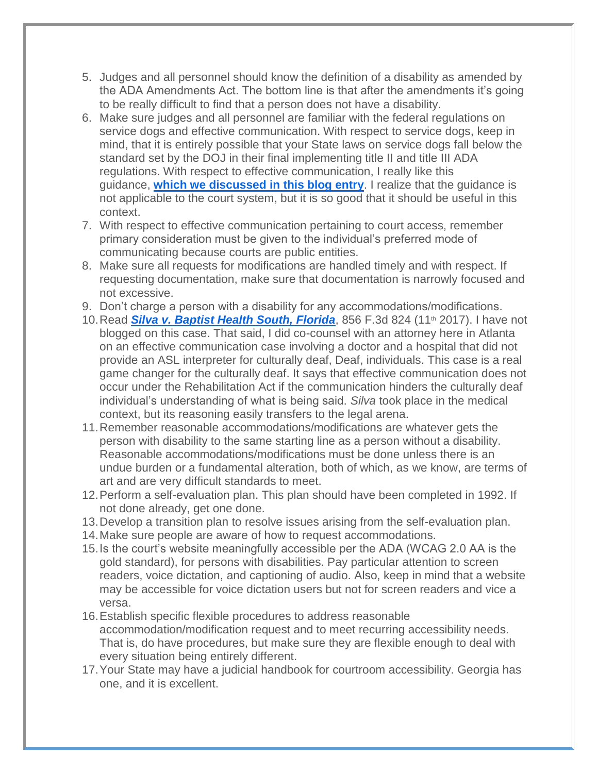- 5. Judges and all personnel should know the definition of a disability as amended by the ADA Amendments Act. The bottom line is that after the amendments it's going to be really difficult to find that a person does not have a disability.
- 6. Make sure judges and all personnel are familiar with the federal regulations on service dogs and effective communication. With respect to service dogs, keep in mind, that it is entirely possible that your State laws on service dogs fall below the standard set by the DOJ in their final implementing title II and title III ADA regulations. With respect to effective communication, I really like this guidance, **[which we discussed in this blog entry](http://www.williamgoren.com/blog/2014/11/17/ocr-doj-effective-communication-guidance/)**. I realize that the guidance is not applicable to the court system, but it is so good that it should be useful in this context.
- 7. With respect to effective communication pertaining to court access, remember primary consideration must be given to the individual's preferred mode of communicating because courts are public entities.
- 8. Make sure all requests for modifications are handled timely and with respect. If requesting documentation, make sure that documentation is narrowly focused and not excessive.
- 9. Don't charge a person with a disability for any accommodations/modifications.
- 10. Read **[Silva v. Baptist Health South, Florida](https://scholar.google.com/scholar_case?case=2719056149939937149&q=silva+v.+baptist+health+south+florida&hl=en&as_sdt=80006&as_vis=1)**, 856 F.3d 824 (11<sup>th</sup> 2017). I have not blogged on this case. That said, I did co-counsel with an attorney here in Atlanta on an effective communication case involving a doctor and a hospital that did not provide an ASL interpreter for culturally deaf, Deaf, individuals. This case is a real game changer for the culturally deaf. It says that effective communication does not occur under the Rehabilitation Act if the communication hinders the culturally deaf individual's understanding of what is being said. *Silva* took place in the medical context, but its reasoning easily transfers to the legal arena.
- 11.Remember reasonable accommodations/modifications are whatever gets the person with disability to the same starting line as a person without a disability. Reasonable accommodations/modifications must be done unless there is an undue burden or a fundamental alteration, both of which, as we know, are terms of art and are very difficult standards to meet.
- 12.Perform a self-evaluation plan. This plan should have been completed in 1992. If not done already, get one done.
- 13.Develop a transition plan to resolve issues arising from the self-evaluation plan.
- 14.Make sure people are aware of how to request accommodations.
- 15.Is the court's website meaningfully accessible per the ADA (WCAG 2.0 AA is the gold standard), for persons with disabilities. Pay particular attention to screen readers, voice dictation, and captioning of audio. Also, keep in mind that a website may be accessible for voice dictation users but not for screen readers and vice a versa.
- 16.Establish specific flexible procedures to address reasonable accommodation/modification request and to meet recurring accessibility needs. That is, do have procedures, but make sure they are flexible enough to deal with every situation being entirely different.
- 17.Your State may have a judicial handbook for courtroom accessibility. Georgia has one, and it is excellent.